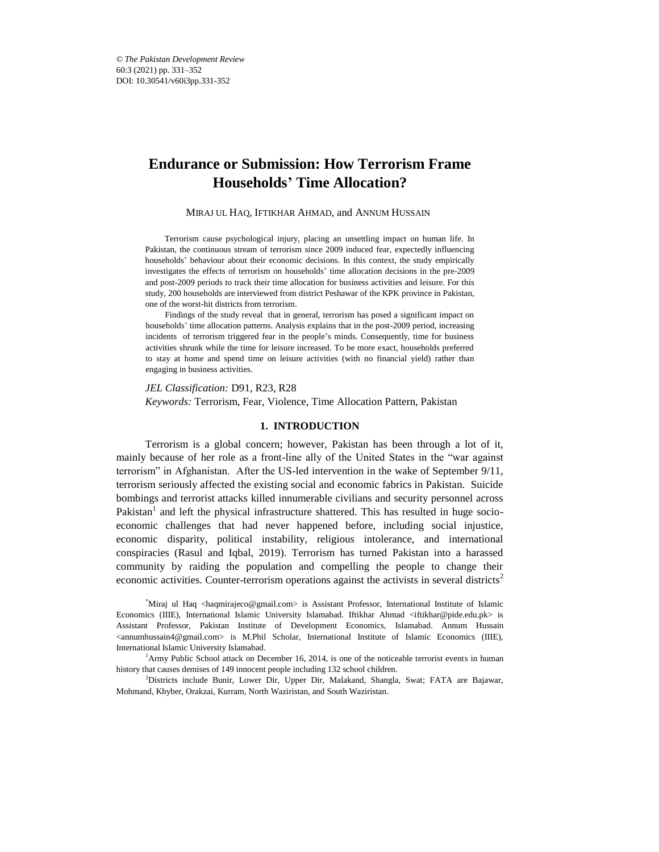# **Endurance or Submission: How Terrorism Frame Households' Time Allocation?**

#### MIRAJ UL HAQ, IFTIKHAR AHMAD, and ANNUM HUSSAIN\*

Terrorism cause psychological injury, placing an unsettling impact on human life. In Pakistan, the continuous stream of terrorism since 2009 induced fear, expectedly influencing households' behaviour about their economic decisions. In this context, the study empirically investigates the effects of terrorism on households' time allocation decisions in the pre-2009 and post-2009 periods to track their time allocation for business activities and leisure. For this study, 200 households are interviewed from district Peshawar of the KPK province in Pakistan, one of the worst-hit districts from terrorism.

Findings of the study reveal that in general, terrorism has posed a significant impact on households' time allocation patterns. Analysis explains that in the post-2009 period, increasing incidents of terrorism triggered fear in the people's minds. Consequently, time for business activities shrunk while the time for leisure increased. To be more exact, households preferred to stay at home and spend time on leisure activities (with no financial yield) rather than engaging in business activities.

*JEL Classification:* D91, R23, R28 *Keywords:* Terrorism, Fear, Violence, Time Allocation Pattern, Pakistan

#### **1. INTRODUCTION**

Terrorism is a global concern; however, Pakistan has been through a lot of it, mainly because of her role as a front-line ally of the United States in the "war against terrorism" in Afghanistan. After the US-led intervention in the wake of September 9/11, terrorism seriously affected the existing social and economic fabrics in Pakistan. Suicide bombings and terrorist attacks killed innumerable civilians and security personnel across Pakistan<sup>1</sup> and left the physical infrastructure shattered. This has resulted in huge socioeconomic challenges that had never happened before, including social injustice, economic disparity, political instability, religious intolerance, and international conspiracies (Rasul and Iqbal, 2019). Terrorism has turned Pakistan into a harassed community by raiding the population and compelling the people to change their economic activities. Counter-terrorism operations against the activists in several districts<sup>2</sup>

\*Miraj ul Haq <haqmirajeco@gmail.com> is Assistant Professor, International Institute of Islamic Economics (IIIE), International Islamic University Islamabad. Iftikhar Ahmad <iftikhar@pide.edu.pk> is Assistant Professor, Pakistan Institute of Development Economics, Islamabad. Annum Hussain <annumhussain4@gmail.com> is M.Phil Scholar, International Institute of Islamic Economics (IIIE), International Islamic University Islamabad.

<sup>1</sup>Army Public School attack on December 16, 2014, is one of the noticeable terrorist events in human history that causes demises of 149 innocent people including 132 school children.

<sup>2</sup>Districts include Bunir, Lower Dir, Upper Dir, Malakand, Shangla, Swat; FATA are Bajawar, Mohmand, Khyber, Orakzai, Kurram, North Waziristan, and South Waziristan.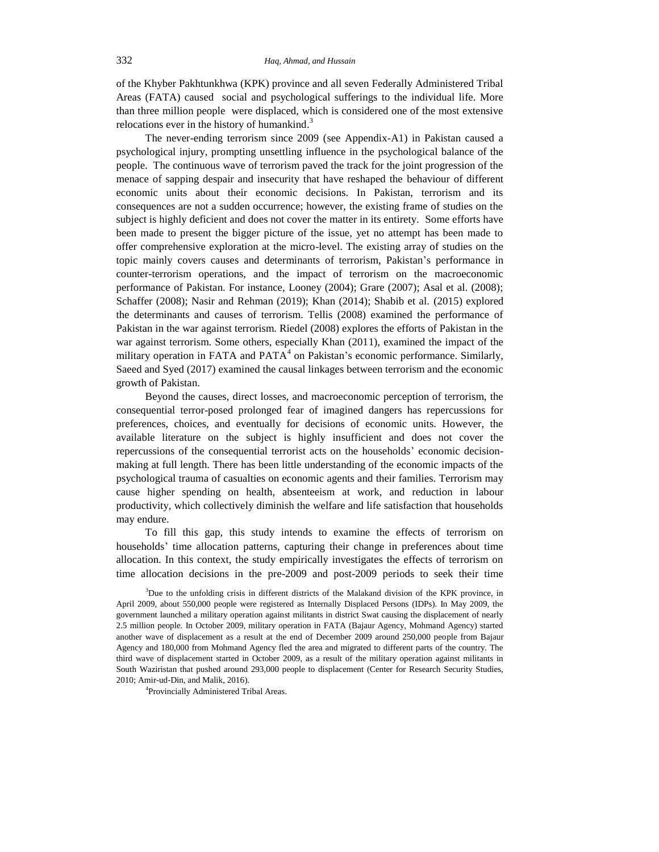of the Khyber Pakhtunkhwa (KPK) province and all seven Federally Administered Tribal Areas (FATA) caused social and psychological sufferings to the individual life. More than three million people were displaced, which is considered one of the most extensive relocations ever in the history of humankind.<sup>3</sup>

The never-ending terrorism since 2009 (see Appendix-A1) in Pakistan caused a psychological injury, prompting unsettling influence in the psychological balance of the people. The continuous wave of terrorism paved the track for the joint progression of the menace of sapping despair and insecurity that have reshaped the behaviour of different economic units about their economic decisions. In Pakistan, terrorism and its consequences are not a sudden occurrence; however, the existing frame of studies on the subject is highly deficient and does not cover the matter in its entirety. Some efforts have been made to present the bigger picture of the issue, yet no attempt has been made to offer comprehensive exploration at the micro-level. The existing array of studies on the topic mainly covers causes and determinants of terrorism, Pakistan's performance in counter-terrorism operations, and the impact of terrorism on the macroeconomic performance of Pakistan. For instance, Looney (2004); Grare (2007); Asal et al. (2008); Schaffer (2008); Nasir and Rehman (2019); Khan (2014); Shabib et al. (2015) explored the determinants and causes of terrorism. Tellis (2008) examined the performance of Pakistan in the war against terrorism. Riedel (2008) explores the efforts of Pakistan in the war against terrorism. Some others, especially Khan (2011), examined the impact of the military operation in FATA and  $PATA<sup>4</sup>$  on Pakistan's economic performance. Similarly, Saeed and Syed (2017) examined the causal linkages between terrorism and the economic growth of Pakistan.

Beyond the causes, direct losses, and macroeconomic perception of terrorism, the consequential terror-posed prolonged fear of imagined dangers has repercussions for preferences, choices, and eventually for decisions of economic units. However, the available literature on the subject is highly insufficient and does not cover the repercussions of the consequential terrorist acts on the households' economic decisionmaking at full length. There has been little understanding of the economic impacts of the psychological trauma of casualties on economic agents and their families. Terrorism may cause higher spending on health, absenteeism at work, and reduction in labour productivity, which collectively diminish the welfare and life satisfaction that households may endure.

To fill this gap, this study intends to examine the effects of terrorism on households' time allocation patterns, capturing their change in preferences about time allocation. In this context, the study empirically investigates the effects of terrorism on time allocation decisions in the pre-2009 and post-2009 periods to seek their time

4 Provincially Administered Tribal Areas.

<sup>&</sup>lt;sup>3</sup>Due to the unfolding crisis in different districts of the Malakand division of the KPK province, in April 2009, about 550,000 people were registered as Internally Displaced Persons (IDPs). In May 2009, the government launched a military operation against militants in district Swat causing the displacement of nearly 2.5 million people. In October 2009, military operation in FATA (Bajaur Agency, Mohmand Agency) started another wave of displacement as a result at the end of December 2009 around 250,000 people from Bajaur Agency and 180,000 from Mohmand Agency fled the area and migrated to different parts of the country. The third wave of displacement started in October 2009, as a result of the military operation against militants in South Waziristan that pushed around 293,000 people to displacement (Center for Research Security Studies, 2010; Amir-ud-Din, and Malik, 2016).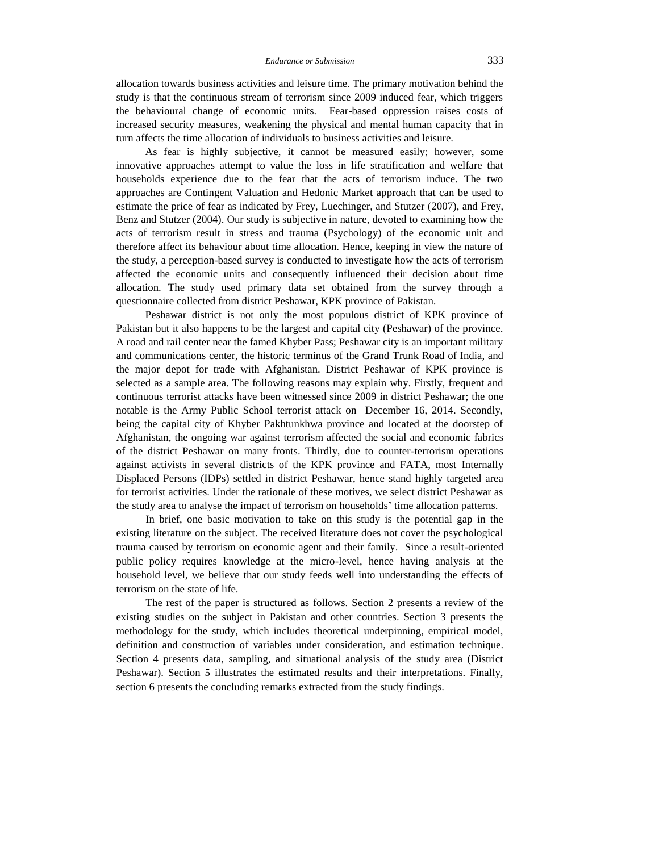allocation towards business activities and leisure time. The primary motivation behind the study is that the continuous stream of terrorism since 2009 induced fear, which triggers the behavioural change of economic units. Fear-based oppression raises costs of increased security measures, weakening the physical and mental human capacity that in turn affects the time allocation of individuals to business activities and leisure.

As fear is highly subjective, it cannot be measured easily; however, some innovative approaches attempt to value the loss in life stratification and welfare that households experience due to the fear that the acts of terrorism induce. The two approaches are Contingent Valuation and Hedonic Market approach that can be used to estimate the price of fear as indicated by Frey, Luechinger, and Stutzer (2007), and Frey, Benz and Stutzer (2004). Our study is subjective in nature, devoted to examining how the acts of terrorism result in stress and trauma (Psychology) of the economic unit and therefore affect its behaviour about time allocation. Hence, keeping in view the nature of the study, a perception-based survey is conducted to investigate how the acts of terrorism affected the economic units and consequently influenced their decision about time allocation. The study used primary data set obtained from the survey through a questionnaire collected from district Peshawar, KPK province of Pakistan.

Peshawar district is not only the most populous district of KPK province of Pakistan but it also happens to be the largest and capital city (Peshawar) of the province. A road and rail center near the famed Khyber Pass; Peshawar city is an important military and communications center, the historic terminus of the Grand Trunk Road of India, and the major depot for trade with Afghanistan. District Peshawar of KPK province is selected as a sample area. The following reasons may explain why. Firstly, frequent and continuous terrorist attacks have been witnessed since 2009 in district Peshawar; the one notable is the Army Public School terrorist attack on December 16, 2014. Secondly, being the capital city of Khyber Pakhtunkhwa province and located at the doorstep of Afghanistan, the ongoing war against terrorism affected the social and economic fabrics of the district Peshawar on many fronts. Thirdly, due to counter-terrorism operations against activists in several districts of the KPK province and FATA, most Internally Displaced Persons (IDPs) settled in district Peshawar, hence stand highly targeted area for terrorist activities. Under the rationale of these motives, we select district Peshawar as the study area to analyse the impact of terrorism on households' time allocation patterns.

In brief, one basic motivation to take on this study is the potential gap in the existing literature on the subject. The received literature does not cover the psychological trauma caused by terrorism on economic agent and their family. Since a result-oriented public policy requires knowledge at the micro-level, hence having analysis at the household level, we believe that our study feeds well into understanding the effects of terrorism on the state of life.

The rest of the paper is structured as follows. Section 2 presents a review of the existing studies on the subject in Pakistan and other countries. Section 3 presents the methodology for the study, which includes theoretical underpinning, empirical model, definition and construction of variables under consideration, and estimation technique. Section 4 presents data, sampling, and situational analysis of the study area (District Peshawar). Section 5 illustrates the estimated results and their interpretations. Finally, section 6 presents the concluding remarks extracted from the study findings.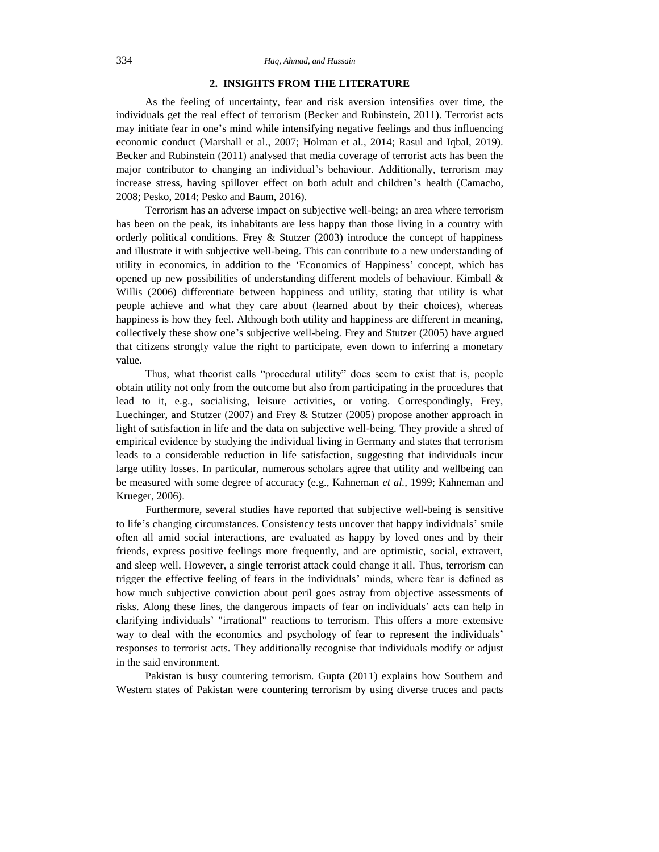# **2. INSIGHTS FROM THE LITERATURE**

As the feeling of uncertainty, fear and risk aversion intensifies over time, the individuals get the real effect of terrorism (Becker and Rubinstein, 2011). Terrorist acts may initiate fear in one's mind while intensifying negative feelings and thus influencing economic conduct (Marshall et al., 2007; Holman et al., 2014; Rasul and Iqbal, 2019). Becker and Rubinstein (2011) analysed that media coverage of terrorist acts has been the major contributor to changing an individual's behaviour. Additionally, terrorism may increase stress, having spillover effect on both adult and children's health (Camacho, 2008; Pesko, 2014; Pesko and Baum, 2016).

Terrorism has an adverse impact on subjective well-being; an area where terrorism has been on the peak, its inhabitants are less happy than those living in a country with orderly political conditions. Frey & Stutzer (2003) introduce the concept of happiness and illustrate it with subjective well-being. This can contribute to a new understanding of utility in economics, in addition to the 'Economics of Happiness' concept, which has opened up new possibilities of understanding different models of behaviour. Kimball & Willis (2006) differentiate between happiness and utility, stating that utility is what people achieve and what they care about (learned about by their choices), whereas happiness is how they feel. Although both utility and happiness are different in meaning, collectively these show one's subjective well-being. Frey and Stutzer (2005) have argued that citizens strongly value the right to participate, even down to inferring a monetary value.

Thus, what theorist calls "procedural utility" does seem to exist that is, people obtain utility not only from the outcome but also from participating in the procedures that lead to it, e.g., socialising, leisure activities, or voting. Correspondingly, Frey, Luechinger, and Stutzer (2007) and Frey & Stutzer (2005) propose another approach in light of satisfaction in life and the data on subjective well-being. They provide a shred of empirical evidence by studying the individual living in Germany and states that terrorism leads to a considerable reduction in life satisfaction, suggesting that individuals incur large utility losses. In particular, numerous scholars agree that utility and wellbeing can be measured with some degree of accuracy (e.g., Kahneman *et al.,* 1999; Kahneman and Krueger, 2006).

Furthermore, several studies have reported that subjective well-being is sensitive to life's changing circumstances. Consistency tests uncover that happy individuals' smile often all amid social interactions, are evaluated as happy by loved ones and by their friends, express positive feelings more frequently, and are optimistic, social, extravert, and sleep well. However, a single terrorist attack could change it all. Thus, terrorism can trigger the effective feeling of fears in the individuals' minds, where fear is defined as how much subjective conviction about peril goes astray from objective assessments of risks. Along these lines, the dangerous impacts of fear on individuals' acts can help in clarifying individuals' "irrational" reactions to terrorism. This offers a more extensive way to deal with the economics and psychology of fear to represent the individuals' responses to terrorist acts. They additionally recognise that individuals modify or adjust in the said environment.

Pakistan is busy countering terrorism. Gupta (2011) explains how Southern and Western states of Pakistan were countering terrorism by using diverse truces and pacts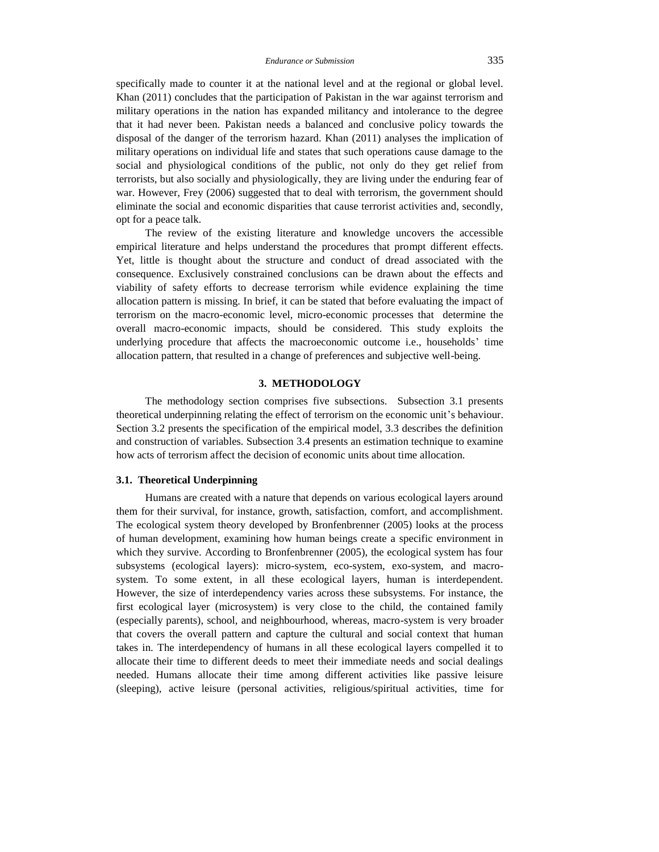specifically made to counter it at the national level and at the regional or global level. Khan (2011) concludes that the participation of Pakistan in the war against terrorism and military operations in the nation has expanded militancy and intolerance to the degree that it had never been. Pakistan needs a balanced and conclusive policy towards the disposal of the danger of the terrorism hazard. Khan (2011) analyses the implication of military operations on individual life and states that such operations cause damage to the social and physiological conditions of the public, not only do they get relief from terrorists, but also socially and physiologically, they are living under the enduring fear of war. However, Frey (2006) suggested that to deal with terrorism, the government should eliminate the social and economic disparities that cause terrorist activities and, secondly, opt for a peace talk.

The review of the existing literature and knowledge uncovers the accessible empirical literature and helps understand the procedures that prompt different effects. Yet, little is thought about the structure and conduct of dread associated with the consequence. Exclusively constrained conclusions can be drawn about the effects and viability of safety efforts to decrease terrorism while evidence explaining the time allocation pattern is missing. In brief, it can be stated that before evaluating the impact of terrorism on the macro-economic level, micro-economic processes that determine the overall macro-economic impacts, should be considered. This study exploits the underlying procedure that affects the macroeconomic outcome i.e., households' time allocation pattern, that resulted in a change of preferences and subjective well-being.

#### **3. METHODOLOGY**

The methodology section comprises five subsections. Subsection 3.1 presents theoretical underpinning relating the effect of terrorism on the economic unit's behaviour. Section 3.2 presents the specification of the empirical model, 3.3 describes the definition and construction of variables. Subsection 3.4 presents an estimation technique to examine how acts of terrorism affect the decision of economic units about time allocation.

### **3.1. Theoretical Underpinning**

Humans are created with a nature that depends on various ecological layers around them for their survival, for instance, growth, satisfaction, comfort, and accomplishment. The ecological system theory developed by Bronfenbrenner (2005) looks at the process of human development, examining how human beings create a specific environment in which they survive. According to Bronfenbrenner (2005), the ecological system has four subsystems (ecological layers): micro-system, eco-system, exo-system, and macrosystem. To some extent, in all these ecological layers, human is interdependent. However, the size of interdependency varies across these subsystems. For instance, the first ecological layer (microsystem) is very close to the child, the contained family (especially parents), school, and neighbourhood, whereas, macro-system is very broader that covers the overall pattern and capture the cultural and social context that human takes in. The interdependency of humans in all these ecological layers compelled it to allocate their time to different deeds to meet their immediate needs and social dealings needed. Humans allocate their time among different activities like passive leisure (sleeping), active leisure (personal activities, religious/spiritual activities, time for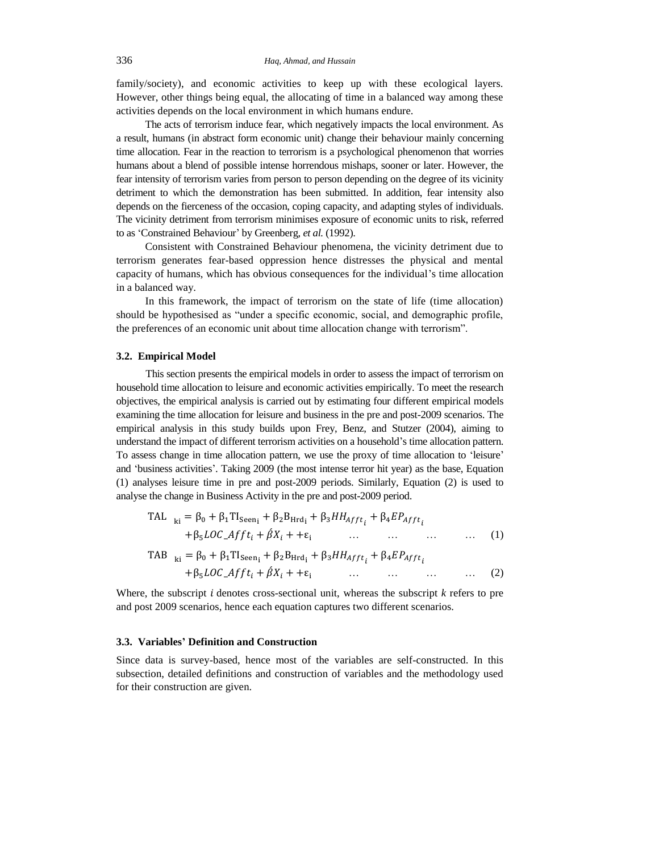family/society), and economic activities to keep up with these ecological layers. However, other things being equal, the allocating of time in a balanced way among these activities depends on the local environment in which humans endure.

The acts of terrorism induce fear, which negatively impacts the local environment. As a result, humans (in abstract form economic unit) change their behaviour mainly concerning time allocation. Fear in the reaction to terrorism is a psychological phenomenon that worries humans about a blend of possible intense horrendous mishaps, sooner or later. However, the fear intensity of terrorism varies from person to person depending on the degree of its vicinity detriment to which the demonstration has been submitted. In addition, fear intensity also depends on the fierceness of the occasion, coping capacity, and adapting styles of individuals. The vicinity detriment from terrorism minimises exposure of economic units to risk, referred to as 'Constrained Behaviour' by Greenberg, *et al.* (1992).

Consistent with Constrained Behaviour phenomena, the vicinity detriment due to terrorism generates fear-based oppression hence distresses the physical and mental capacity of humans, which has obvious consequences for the individual's time allocation in a balanced way.

In this framework, the impact of terrorism on the state of life (time allocation) should be hypothesised as "under a specific economic, social, and demographic profile, the preferences of an economic unit about time allocation change with terrorism".

#### **3.2. Empirical Model**

This section presents the empirical models in order to assess the impact of terrorism on household time allocation to leisure and economic activities empirically. To meet the research objectives, the empirical analysis is carried out by estimating four different empirical models examining the time allocation for leisure and business in the pre and post-2009 scenarios. The empirical analysis in this study builds upon Frey, Benz, and Stutzer (2004), aiming to understand the impact of different terrorism activities on a household's time allocation pattern. To assess change in time allocation pattern, we use the proxy of time allocation to 'leisure' and 'business activities'. Taking 2009 (the most intense terror hit year) as the base, Equation (1) analyses leisure time in pre and post-2009 periods. Similarly, Equation (2) is used to analyse the change in Business Activity in the pre and post-2009 period.

$$
\begin{aligned}\n\text{TAL}_{ki} &= \beta_0 + \beta_1 \text{TI}_{\text{Seen}_1} + \beta_2 \text{B}_{\text{Hrd}_1} + \beta_3 H H_{\text{Aff}t_i} + \beta_4 E P_{\text{Aff}t_i} \\
&\quad + \beta_5 LOC_- \text{Aff}t_i + \beta X_i + + \varepsilon_i \qquad \qquad \dots \qquad \dots \qquad \dots \qquad \dots \qquad (1)\n\end{aligned}
$$

$$
\begin{aligned} \text{TAB} \quad_{\text{ki}} &= \beta_0 + \beta_1 \text{TI}_{\text{seen}_1} + \beta_2 \text{B}_{\text{Hrd}_1} + \beta_3 H H_{\text{Aff}t_i} + \beta_4 E P_{\text{Aff}t_i} \\ &+ \beta_5 LOC_{\text{A}} f f t_i + \beta X_i + + \varepsilon_i \quad \dots \quad \dots \quad \dots \quad \dots \quad \dots \end{aligned} \tag{2}
$$

Where, the subscript  $i$  denotes cross-sectional unit, whereas the subscript  $k$  refers to pre and post 2009 scenarios, hence each equation captures two different scenarios.

#### **3.3. Variables' Definition and Construction**

Since data is survey-based, hence most of the variables are self-constructed. In this subsection, detailed definitions and construction of variables and the methodology used for their construction are given.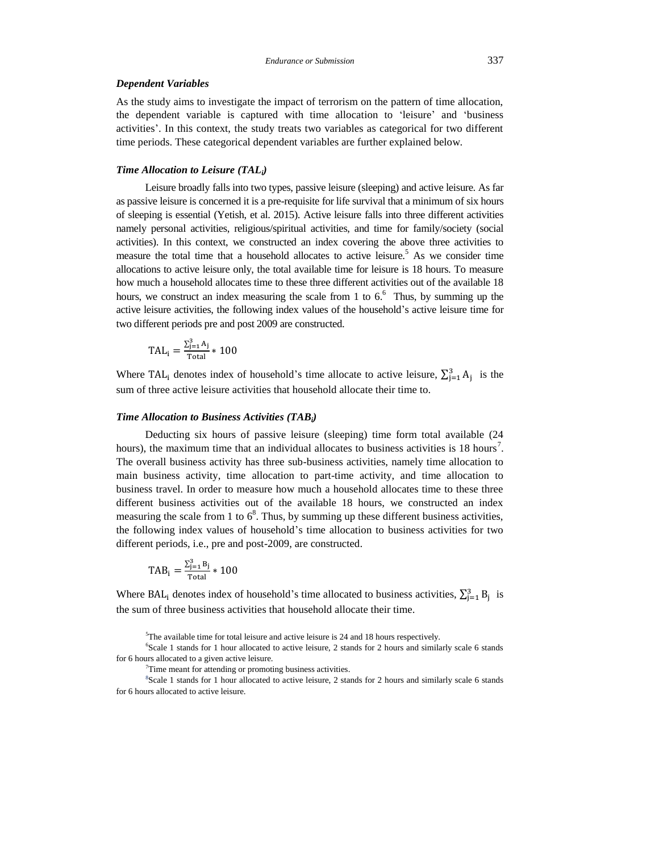## *Endurance or Submission* 337

## *Dependent Variables*

As the study aims to investigate the impact of terrorism on the pattern of time allocation, the dependent variable is captured with time allocation to 'leisure' and 'business activities'. In this context, the study treats two variables as categorical for two different time periods. These categorical dependent variables are further explained below.

## *Time Allocation to Leisure (TALi)*

Leisure broadly falls into two types, passive leisure (sleeping) and active leisure. As far as passive leisure is concerned it is a pre-requisite for life survival that a minimum of six hours of sleeping is essential (Yetish, et al. 2015). Active leisure falls into three different activities namely personal activities, religious/spiritual activities, and time for family/society (social activities). In this context, we constructed an index covering the above three activities to measure the total time that a household allocates to active leisure.<sup>5</sup> As we consider time allocations to active leisure only, the total available time for leisure is 18 hours. To measure how much a household allocates time to these three different activities out of the available 18 hours, we construct an index measuring the scale from 1 to 6.<sup>6</sup> Thus, by summing up the active leisure activities, the following index values of the household's active leisure time for two different periods pre and post 2009 are constructed.

$$
TAL_i = \frac{\sum_{j=1}^{3} A_j}{\text{Total}} * 100
$$

Where TAL<sub>i</sub> denotes index of household's time allocate to active leisure,  $\sum_{j=1}^{3} A_j$  is the sum of three active leisure activities that household allocate their time to.

#### *Time Allocation to Business Activities (TABi)*

Deducting six hours of passive leisure (sleeping) time form total available (24 hours), the maximum time that an individual allocates to business activities is 18 hours<sup>7</sup>. The overall business activity has three sub-business activities, namely time allocation to main business activity, time allocation to part-time activity, and time allocation to business travel. In order to measure how much a household allocates time to these three different business activities out of the available 18 hours, we constructed an index measuring the scale from 1 to  $6<sup>8</sup>$ . Thus, by summing up these different business activities, the following index values of household's time allocation to business activities for two different periods, i.e., pre and post-2009, are constructed.

$$
TAB_i = \frac{\sum_{j=1}^{3} B_j}{Total} * 100
$$

Where BAL<sub>i</sub> denotes index of household's time allocated to business activities,  $\sum_{j=1}^{3} B_j$  is the sum of three business activities that household allocate their time.

<sup>5</sup>The available time for total leisure and active leisure is 24 and 18 hours respectively.

6 Scale 1 stands for 1 hour allocated to active leisure, 2 stands for 2 hours and similarly scale 6 stands for 6 hours allocated to a given active leisure.

<sup>7</sup>Time meant for attending or promoting business activities.

8 Scale 1 stands for 1 hour allocated to active leisure, 2 stands for 2 hours and similarly scale 6 stands for 6 hours allocated to active leisure.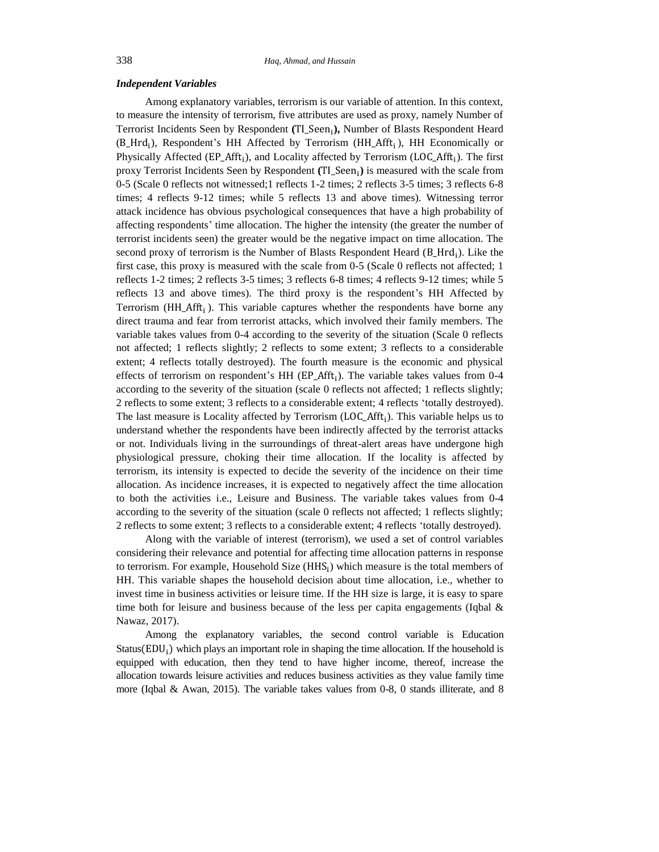#### *Independent Variables*

Among explanatory variables, terrorism is our variable of attention. In this context, to measure the intensity of terrorism, five attributes are used as proxy, namely Number of Terrorist Incidents Seen by Respondent (TI\_Seen<sub>i</sub>), Number of Blasts Respondent Heard (B\_Hrd<sub>i</sub>), Respondent's HH Affected by Terrorism (HH\_Afft<sub>i</sub>), HH Economically or Physically Affected (EP\_Afft<sub>i</sub>), and Locality affected by Terrorism (LOC\_Afft<sub>i</sub>). The first proxy Terrorist Incidents Seen by Respondent (TI\_Seen<sub>i</sub>) is measured with the scale from 0-5 (Scale 0 reflects not witnessed;1 reflects 1-2 times; 2 reflects 3-5 times; 3 reflects 6-8 times; 4 reflects 9-12 times; while 5 reflects 13 and above times). Witnessing terror attack incidence has obvious psychological consequences that have a high probability of affecting respondents' time allocation. The higher the intensity (the greater the number of terrorist incidents seen) the greater would be the negative impact on time allocation. The second proxy of terrorism is the Number of Blasts Respondent Heard (B\_Hrd<sub>i</sub>). Like the first case, this proxy is measured with the scale from 0-5 (Scale 0 reflects not affected; 1 reflects 1-2 times; 2 reflects 3-5 times; 3 reflects 6-8 times; 4 reflects 9-12 times; while 5 reflects 13 and above times). The third proxy is the respondent's HH Affected by Terrorism ( $HH_A$ fft<sub>i</sub>). This variable captures whether the respondents have borne any direct trauma and fear from terrorist attacks, which involved their family members. The variable takes values from 0-4 according to the severity of the situation (Scale 0 reflects not affected; 1 reflects slightly; 2 reflects to some extent; 3 reflects to a considerable extent; 4 reflects totally destroyed). The fourth measure is the economic and physical effects of terrorism on respondent's HH  $(EP_A$ fft<sub>i</sub>). The variable takes values from 0-4 according to the severity of the situation (scale 0 reflects not affected; 1 reflects slightly; 2 reflects to some extent; 3 reflects to a considerable extent; 4 reflects 'totally destroyed). The last measure is Locality affected by Terrorism (LOC\_Afft<sub>i</sub>). This variable helps us to understand whether the respondents have been indirectly affected by the terrorist attacks or not. Individuals living in the surroundings of threat-alert areas have undergone high physiological pressure, choking their time allocation. If the locality is affected by terrorism, its intensity is expected to decide the severity of the incidence on their time allocation. As incidence increases, it is expected to negatively affect the time allocation to both the activities i.e., Leisure and Business. The variable takes values from 0-4 according to the severity of the situation (scale 0 reflects not affected; 1 reflects slightly; 2 reflects to some extent; 3 reflects to a considerable extent; 4 reflects 'totally destroyed).

Along with the variable of interest (terrorism), we used a set of control variables considering their relevance and potential for affecting time allocation patterns in response to terrorism. For example, Household Size  $(HHS<sub>i</sub>)$  which measure is the total members of HH. This variable shapes the household decision about time allocation, i.e., whether to invest time in business activities or leisure time. If the HH size is large, it is easy to spare time both for leisure and business because of the less per capita engagements (Iqbal  $\&$ Nawaz, 2017).

Among the explanatory variables, the second control variable is Education Status ( $EDU_i$ ) which plays an important role in shaping the time allocation. If the household is equipped with education, then they tend to have higher income, thereof, increase the allocation towards leisure activities and reduces business activities as they value family time more (Iqbal & Awan, 2015). The variable takes values from 0-8, 0 stands illiterate, and 8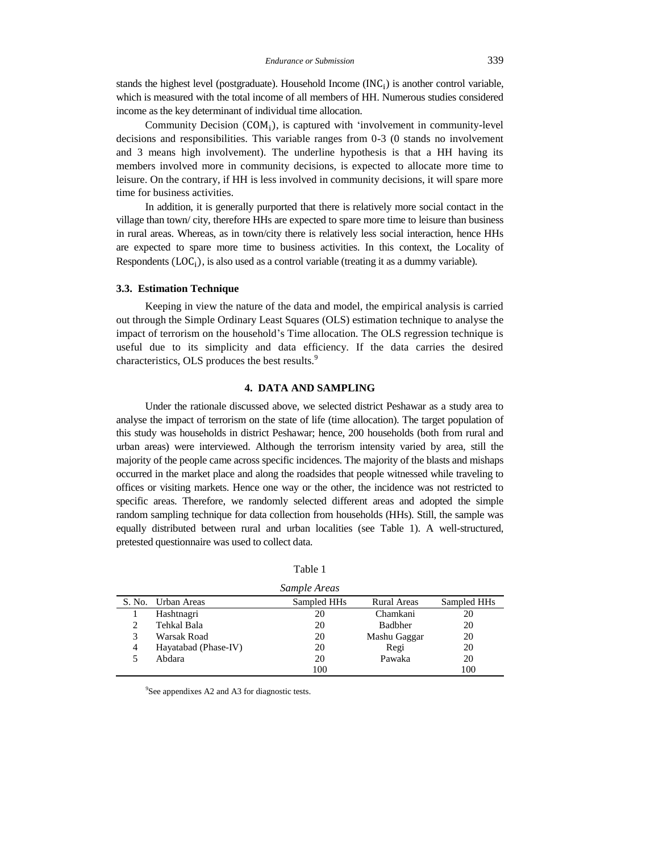stands the highest level (postgraduate). Household Income  $(INC<sub>i</sub>)$  is another control variable, which is measured with the total income of all members of HH. Numerous studies considered income as the key determinant of individual time allocation.

Community Decision  $(COM_i)$ , is captured with 'involvement in community-level decisions and responsibilities. This variable ranges from 0-3 (0 stands no involvement and 3 means high involvement). The underline hypothesis is that a HH having its members involved more in community decisions, is expected to allocate more time to leisure. On the contrary, if HH is less involved in community decisions, it will spare more time for business activities.

In addition, it is generally purported that there is relatively more social contact in the village than town/ city, therefore HHs are expected to spare more time to leisure than business in rural areas. Whereas, as in town/city there is relatively less social interaction, hence HHs are expected to spare more time to business activities. In this context, the Locality of Respondents  $(LOC_i)$ , is also used as a control variable (treating it as a dummy variable).

## **3.3. Estimation Technique**

Keeping in view the nature of the data and model, the empirical analysis is carried out through the Simple Ordinary Least Squares (OLS) estimation technique to analyse the impact of terrorism on the household's Time allocation. The OLS regression technique is useful due to its simplicity and data efficiency. If the data carries the desired characteristics, OLS produces the best results.<sup>9</sup>

## **4. DATA AND SAMPLING**

Under the rationale discussed above, we selected district Peshawar as a study area to analyse the impact of terrorism on the state of life (time allocation). The target population of this study was households in district Peshawar; hence, 200 households (both from rural and urban areas) were interviewed. Although the terrorism intensity varied by area, still the majority of the people came across specific incidences. The majority of the blasts and mishaps occurred in the market place and along the roadsides that people witnessed while traveling to offices or visiting markets. Hence one way or the other, the incidence was not restricted to specific areas. Therefore, we randomly selected different areas and adopted the simple random sampling technique for data collection from households (HHs). Still, the sample was equally distributed between rural and urban localities (see Table 1). A well-structured, pretested questionnaire was used to collect data.

| ۹ |  |
|---|--|
|   |  |

|   |                      | Sample Areas |                    |             |
|---|----------------------|--------------|--------------------|-------------|
|   | S. No. Urban Areas   | Sampled HHs  | <b>Rural Areas</b> | Sampled HHs |
|   | Hashtnagri           | 20           | Chamkani           | 20          |
|   | Tehkal Bala          | 20           | <b>Badbher</b>     | 20          |
| 3 | Warsak Road          | 20           | Mashu Gaggar       | 20          |
| 4 | Hayatabad (Phase-IV) | 20           | Regi               | 20          |
|   | Abdara               | 20           | Pawaka             | 20          |
|   |                      | 100          |                    | 100         |

<sup>9</sup>See appendixes A2 and A3 for diagnostic tests.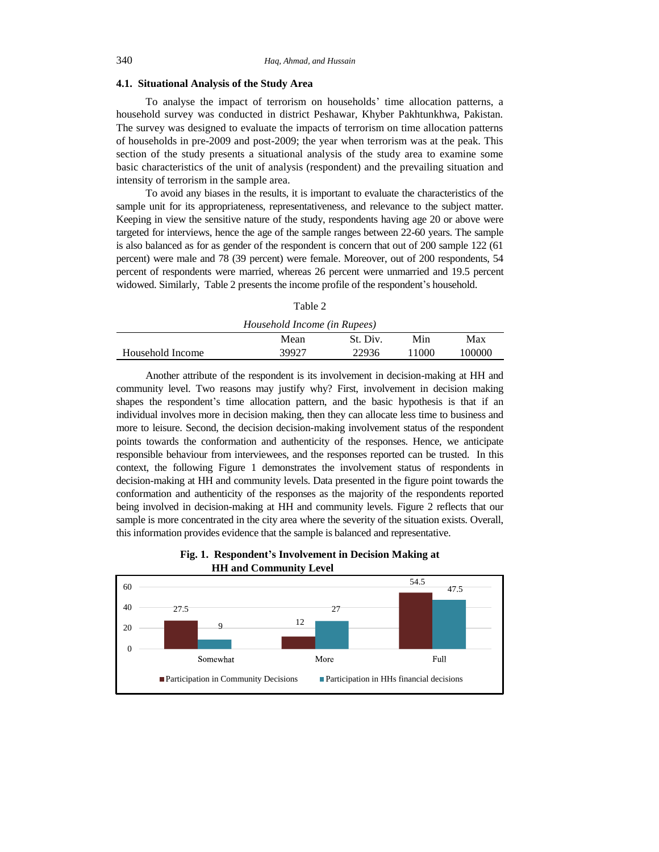## **4.1. Situational Analysis of the Study Area**

To analyse the impact of terrorism on households' time allocation patterns, a household survey was conducted in district Peshawar, Khyber Pakhtunkhwa, Pakistan. The survey was designed to evaluate the impacts of terrorism on time allocation patterns of households in pre-2009 and post-2009; the year when terrorism was at the peak. This section of the study presents a situational analysis of the study area to examine some basic characteristics of the unit of analysis (respondent) and the prevailing situation and intensity of terrorism in the sample area.

To avoid any biases in the results, it is important to evaluate the characteristics of the sample unit for its appropriateness, representativeness, and relevance to the subject matter. Keeping in view the sensitive nature of the study, respondents having age 20 or above were targeted for interviews, hence the age of the sample ranges between 22-60 years. The sample is also balanced as for as gender of the respondent is concern that out of 200 sample 122 (61 percent) were male and 78 (39 percent) were female. Moreover, out of 200 respondents, 54 percent of respondents were married, whereas 26 percent were unmarried and 19.5 percent widowed. Similarly, Table 2 presents the income profile of the respondent's household.

| ۹ |  |
|---|--|
|   |  |

| Household Income (in Rupees) |       |          |       |        |
|------------------------------|-------|----------|-------|--------|
|                              | Mean  | St. Div. | Min   | Max    |
| Household Income             | 39927 | 22936    | 11000 | 100000 |

Another attribute of the respondent is its involvement in decision-making at HH and community level. Two reasons may justify why? First, involvement in decision making shapes the respondent's time allocation pattern, and the basic hypothesis is that if an individual involves more in decision making, then they can allocate less time to business and more to leisure. Second, the decision decision-making involvement status of the respondent points towards the conformation and authenticity of the responses. Hence, we anticipate responsible behaviour from interviewees, and the responses reported can be trusted. In this context, the following Figure 1 demonstrates the involvement status of respondents in decision-making at HH and community levels. Data presented in the figure point towards the conformation and authenticity of the responses as the majority of the respondents reported being involved in decision-making at HH and community levels. Figure 2 reflects that our sample is more concentrated in the city area where the severity of the situation exists. Overall, this information provides evidence that the sample is balanced and representative.



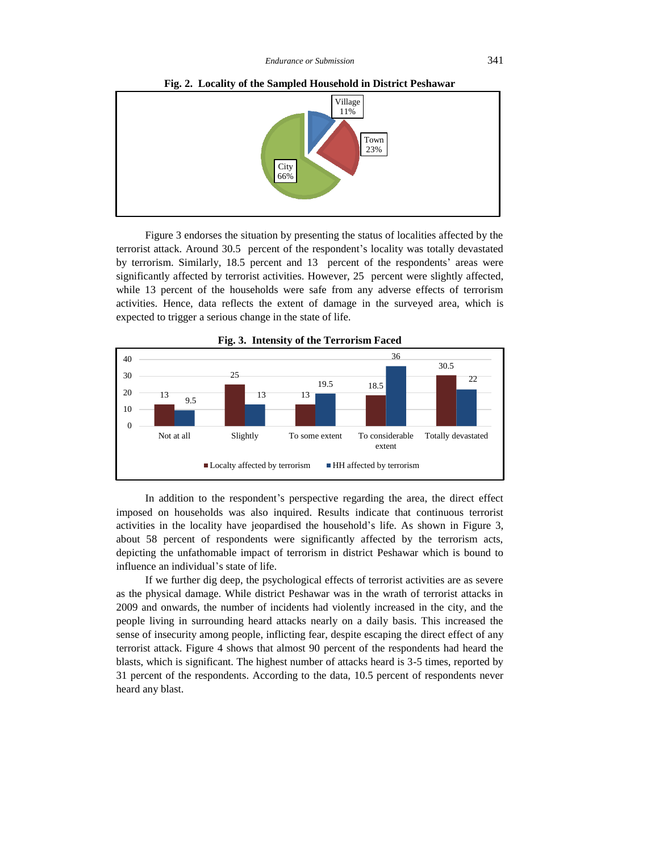

**Fig. 2. Locality of the Sampled Household in District Peshawar**

Figure 3 endorses the situation by presenting the status of localities affected by the terrorist attack. Around 30.5 percent of the respondent's locality was totally devastated by terrorism. Similarly, 18.5 percent and 13 percent of the respondents' areas were significantly affected by terrorist activities. However, 25 percent were slightly affected, while 13 percent of the households were safe from any adverse effects of terrorism activities. Hence, data reflects the extent of damage in the surveyed area, which is expected to trigger a serious change in the state of life.



**Fig. 3. Intensity of the Terrorism Faced**

In addition to the respondent's perspective regarding the area, the direct effect imposed on households was also inquired. Results indicate that continuous terrorist activities in the locality have jeopardised the household's life. As shown in Figure 3, about 58 percent of respondents were significantly affected by the terrorism acts, depicting the unfathomable impact of terrorism in district Peshawar which is bound to influence an individual's state of life.

If we further dig deep, the psychological effects of terrorist activities are as severe as the physical damage. While district Peshawar was in the wrath of terrorist attacks in 2009 and onwards, the number of incidents had violently increased in the city, and the people living in surrounding heard attacks nearly on a daily basis. This increased the sense of insecurity among people, inflicting fear, despite escaping the direct effect of any terrorist attack. Figure 4 shows that almost 90 percent of the respondents had heard the blasts, which is significant. The highest number of attacks heard is 3-5 times, reported by 31 percent of the respondents. According to the data, 10.5 percent of respondents never heard any blast.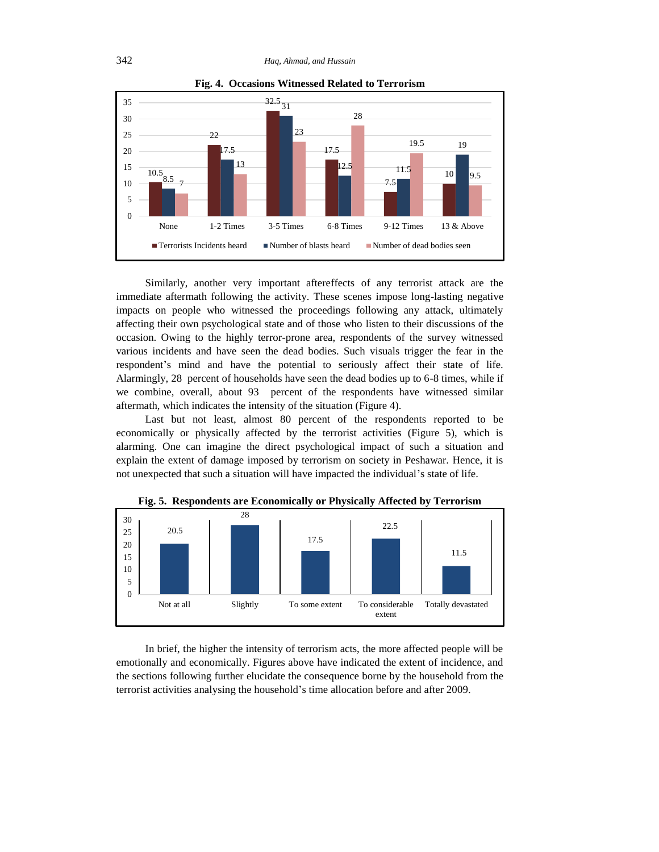

**Fig. 4. Occasions Witnessed Related to Terrorism**

Similarly, another very important aftereffects of any terrorist attack are the immediate aftermath following the activity. These scenes impose long-lasting negative impacts on people who witnessed the proceedings following any attack, ultimately affecting their own psychological state and of those who listen to their discussions of the occasion. Owing to the highly terror-prone area, respondents of the survey witnessed various incidents and have seen the dead bodies. Such visuals trigger the fear in the respondent's mind and have the potential to seriously affect their state of life. Alarmingly, 28 percent of households have seen the dead bodies up to 6-8 times, while if we combine, overall, about 93 percent of the respondents have witnessed similar aftermath, which indicates the intensity of the situation (Figure 4).

Last but not least, almost 80 percent of the respondents reported to be economically or physically affected by the terrorist activities (Figure 5), which is alarming. One can imagine the direct psychological impact of such a situation and explain the extent of damage imposed by terrorism on society in Peshawar. Hence, it is not unexpected that such a situation will have impacted the individual's state of life.



**Fig. 5. Respondents are Economically or Physically Affected by Terrorism**

In brief, the higher the intensity of terrorism acts, the more affected people will be emotionally and economically. Figures above have indicated the extent of incidence, and the sections following further elucidate the consequence borne by the household from the terrorist activities analysing the household's time allocation before and after 2009.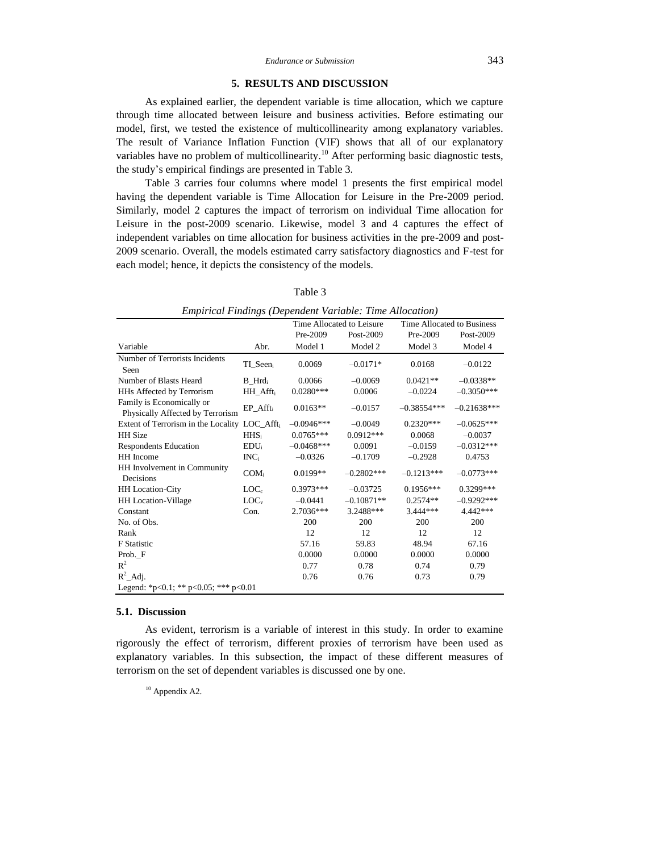## **5. RESULTS AND DISCUSSION**

As explained earlier, the dependent variable is time allocation, which we capture through time allocated between leisure and business activities. Before estimating our model, first, we tested the existence of multicollinearity among explanatory variables. The result of Variance Inflation Function (VIF) shows that all of our explanatory variables have no problem of multicollinearity.<sup>10</sup> After performing basic diagnostic tests, the study's empirical findings are presented in Table 3.

Table 3 carries four columns where model 1 presents the first empirical model having the dependent variable is Time Allocation for Leisure in the Pre-2009 period. Similarly, model 2 captures the impact of terrorism on individual Time allocation for Leisure in the post-2009 scenario. Likewise, model 3 and 4 captures the effect of independent variables on time allocation for business activities in the pre-2009 and post-2009 scenario. Overall, the models estimated carry satisfactory diagnostics and F-test for each model; hence, it depicts the consistency of the models.

| Empirical Findings (Dependent Variable: Time Allocation)      |                      |              |                           |                            |               |  |
|---------------------------------------------------------------|----------------------|--------------|---------------------------|----------------------------|---------------|--|
|                                                               |                      |              | Time Allocated to Leisure | Time Allocated to Business |               |  |
|                                                               |                      | Pre-2009     | Post-2009                 | Pre-2009                   | Post-2009     |  |
| Variable                                                      | Abr.                 | Model 1      | Model 2                   | Model 3                    | Model 4       |  |
| Number of Terrorists Incidents<br>Seen                        | TI_Seen;             | 0.0069       | $-0.0171*$                | 0.0168                     | $-0.0122$     |  |
| Number of Blasts Heard                                        | $B$ Hrd              | 0.0066       | $-0.0069$                 | $0.0421**$                 | $-0.0338**$   |  |
| HHs Affected by Terrorism                                     | HH Afft <sub>i</sub> | $0.0280***$  | 0.0006                    | $-0.0224$                  | $-0.3050***$  |  |
| Family is Economically or<br>Physically Affected by Terrorism | $EP_{\_}Aff_{t_i}$   | $0.0163**$   | $-0.0157$                 | $-0.38554***$              | $-0.21638***$ |  |
| Extent of Terrorism in the Locality LOC_Afft <sub>i</sub>     |                      | $-0.0946***$ | $-0.0049$                 | $0.2320***$                | $-0.0625***$  |  |
| <b>HH</b> Size                                                | HHS <sub>i</sub>     | $0.0765***$  | $0.0912***$               | 0.0068                     | $-0.0037$     |  |
| <b>Respondents Education</b>                                  | EDU <sub>i</sub>     | $-0.0468***$ | 0.0091                    | $-0.0159$                  | $-0.0312***$  |  |
| HH Income                                                     | $INC_i$              | $-0.0326$    | $-0.1709$                 | $-0.2928$                  | 0.4753        |  |
| HH Involvement in Community<br>Decisions                      | $COM_i$              | $0.0199**$   | $-0.2802***$              | $-0.1213***$               | $-0.0773***$  |  |
| <b>HH</b> Location-City                                       | $LOC_c$              | $0.3973***$  | $-0.03725$                | $0.1956***$                | 0.3299***     |  |
| <b>HH</b> Location-Village                                    | $LOC_v$              | $-0.0441$    | $-0.10871**$              | $0.2574**$                 | $-0.9292***$  |  |
| Constant                                                      | Con.                 | 2.7036***    | 3.2488***                 | $3.444***$                 | 4.442 ***     |  |
| No. of Obs.                                                   |                      | 200          | 200                       | 200                        | 200           |  |
| Rank                                                          |                      | 12           | 12                        | 12                         | 12            |  |
| <b>F</b> Statistic                                            |                      | 57.16        | 59.83                     | 48.94                      | 67.16         |  |
| Prob. F                                                       |                      | 0.0000       | 0.0000                    | 0.0000                     | 0.0000        |  |
| $R^2$                                                         |                      | 0.77         | 0.78                      | 0.74                       | 0.79          |  |
| $R^2$ _Adj.                                                   |                      | 0.76         | 0.76                      | 0.73                       | 0.79          |  |
| Legend: *p<0.1; ** p<0.05; *** p<0.01                         |                      |              |                           |                            |               |  |

Table 3

#### **5.1. Discussion**

As evident, terrorism is a variable of interest in this study. In order to examine rigorously the effect of terrorism, different proxies of terrorism have been used as explanatory variables. In this subsection, the impact of these different measures of terrorism on the set of dependent variables is discussed one by one.

 $10$  Appendix A2.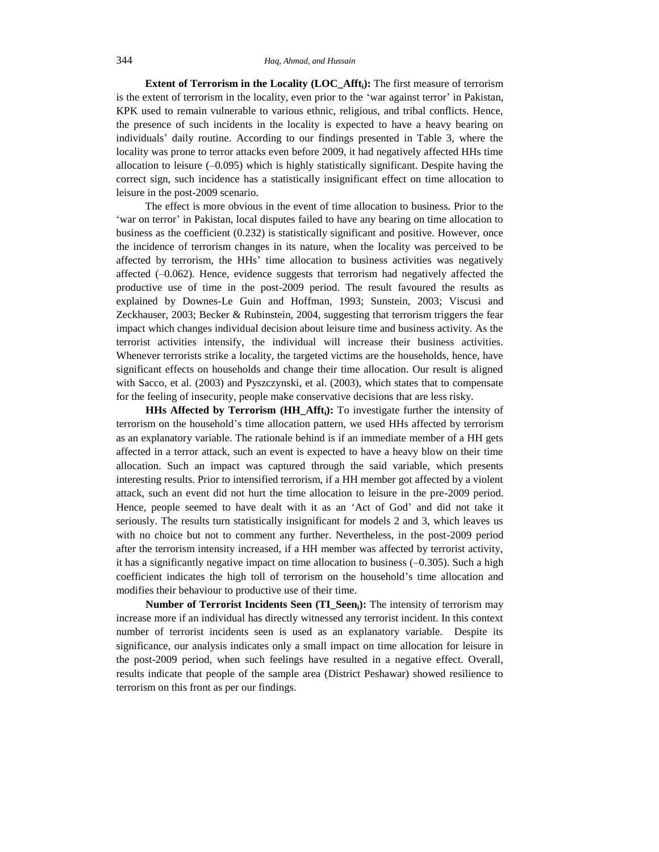**Extent of Terrorism in the Locality (LOC\_Affti):** The first measure of terrorism is the extent of terrorism in the locality, even prior to the 'war against terror' in Pakistan, KPK used to remain vulnerable to various ethnic, religious, and tribal conflicts. Hence, the presence of such incidents in the locality is expected to have a heavy bearing on individuals' daily routine. According to our findings presented in Table 3, where the locality was prone to terror attacks even before 2009, it had negatively affected HHs time allocation to leisure  $(-0.095)$  which is highly statistically significant. Despite having the correct sign, such incidence has a statistically insignificant effect on time allocation to leisure in the post-2009 scenario.

The effect is more obvious in the event of time allocation to business. Prior to the 'war on terror' in Pakistan, local disputes failed to have any bearing on time allocation to business as the coefficient (0.232) is statistically significant and positive. However, once the incidence of terrorism changes in its nature, when the locality was perceived to be affected by terrorism, the HHs' time allocation to business activities was negatively affected  $(-0.062)$ . Hence, evidence suggests that terrorism had negatively affected the productive use of time in the post-2009 period. The result favoured the results as explained by Downes-Le Guin and Hoffman, 1993; Sunstein, 2003; Viscusi and Zeckhauser, 2003; Becker & Rubinstein, 2004, suggesting that terrorism triggers the fear impact which changes individual decision about leisure time and business activity. As the terrorist activities intensify, the individual will increase their business activities. Whenever terrorists strike a locality, the targeted victims are the households, hence, have significant effects on households and change their time allocation. Our result is aligned with Sacco, et al. (2003) and Pyszczynski, et al. (2003), which states that to compensate for the feeling of insecurity, people make conservative decisions that are less risky.

**HHs Affected by Terrorism (HH\_Affti):** To investigate further the intensity of terrorism on the household's time allocation pattern, we used HHs affected by terrorism as an explanatory variable. The rationale behind is if an immediate member of a HH gets affected in a terror attack, such an event is expected to have a heavy blow on their time allocation. Such an impact was captured through the said variable, which presents interesting results. Prior to intensified terrorism, if a HH member got affected by a violent attack, such an event did not hurt the time allocation to leisure in the pre-2009 period. Hence, people seemed to have dealt with it as an 'Act of God' and did not take it seriously. The results turn statistically insignificant for models 2 and 3, which leaves us with no choice but not to comment any further. Nevertheless, in the post-2009 period after the terrorism intensity increased, if a HH member was affected by terrorist activity, it has a significantly negative impact on time allocation to business  $(-0.305)$ . Such a high coefficient indicates the high toll of terrorism on the household's time allocation and modifies their behaviour to productive use of their time.

**Number of Terrorist Incidents Seen (TI\_Seeni):** The intensity of terrorism may increase more if an individual has directly witnessed any terrorist incident. In this context number of terrorist incidents seen is used as an explanatory variable. Despite its significance, our analysis indicates only a small impact on time allocation for leisure in the post-2009 period, when such feelings have resulted in a negative effect. Overall, results indicate that people of the sample area (District Peshawar) showed resilience to terrorism on this front as per our findings.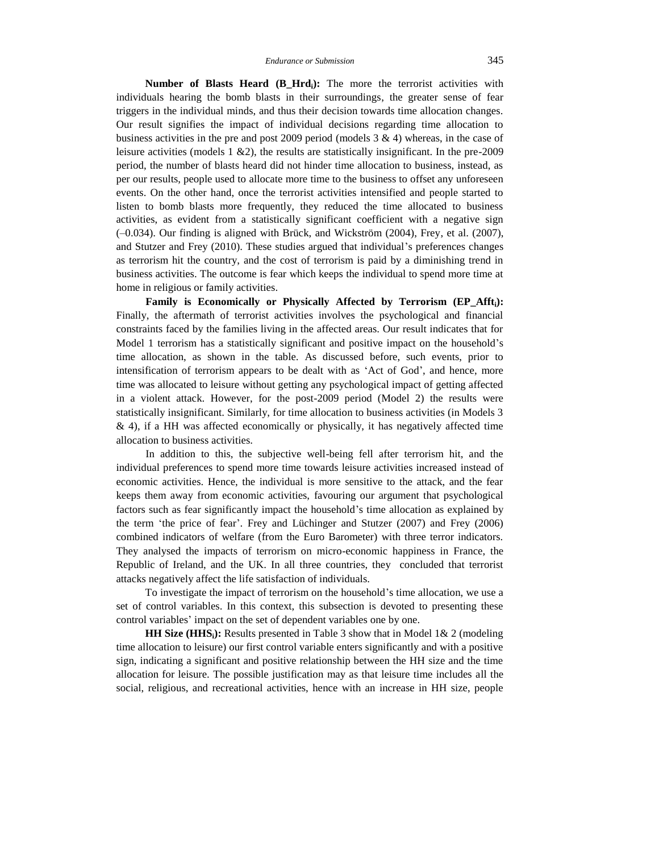**Number of Blasts Heard (B\_Hrdi):** The more the terrorist activities with individuals hearing the bomb blasts in their surroundings, the greater sense of fear triggers in the individual minds, and thus their decision towards time allocation changes. Our result signifies the impact of individual decisions regarding time allocation to business activities in the pre and post 2009 period (models  $3 \& 4$ ) whereas, in the case of leisure activities (models  $1 \& 2$ ), the results are statistically insignificant. In the pre-2009 period, the number of blasts heard did not hinder time allocation to business, instead, as per our results, people used to allocate more time to the business to offset any unforeseen events. On the other hand, once the terrorist activities intensified and people started to listen to bomb blasts more frequently, they reduced the time allocated to business activities, as evident from a statistically significant coefficient with a negative sign (–0.034). Our finding is aligned with Brück, and Wickström (2004), Frey, et al. (2007), and Stutzer and Frey (2010). These studies argued that individual's preferences changes as terrorism hit the country, and the cost of terrorism is paid by a diminishing trend in business activities. The outcome is fear which keeps the individual to spend more time at home in religious or family activities.

**Family is Economically or Physically Affected by Terrorism (EP\_Affti):** Finally, the aftermath of terrorist activities involves the psychological and financial constraints faced by the families living in the affected areas. Our result indicates that for Model 1 terrorism has a statistically significant and positive impact on the household's time allocation, as shown in the table. As discussed before, such events, prior to intensification of terrorism appears to be dealt with as 'Act of God', and hence, more time was allocated to leisure without getting any psychological impact of getting affected in a violent attack. However, for the post-2009 period (Model 2) the results were statistically insignificant. Similarly, for time allocation to business activities (in Models 3 & 4), if a HH was affected economically or physically, it has negatively affected time allocation to business activities.

In addition to this, the subjective well-being fell after terrorism hit, and the individual preferences to spend more time towards leisure activities increased instead of economic activities. Hence, the individual is more sensitive to the attack, and the fear keeps them away from economic activities, favouring our argument that psychological factors such as fear significantly impact the household's time allocation as explained by the term 'the price of fear'. Frey and Lüchinger and Stutzer (2007) and Frey (2006) combined indicators of welfare (from the Euro Barometer) with three terror indicators. They analysed the impacts of terrorism on micro-economic happiness in France, the Republic of Ireland, and the UK. In all three countries, they concluded that terrorist attacks negatively affect the life satisfaction of individuals.

To investigate the impact of terrorism on the household's time allocation, we use a set of control variables. In this context, this subsection is devoted to presenting these control variables' impact on the set of dependent variables one by one.

**HH Size (HHS<sub>i</sub>**): Results presented in Table 3 show that in Model 1& 2 (modeling time allocation to leisure) our first control variable enters significantly and with a positive sign, indicating a significant and positive relationship between the HH size and the time allocation for leisure. The possible justification may as that leisure time includes all the social, religious, and recreational activities, hence with an increase in HH size, people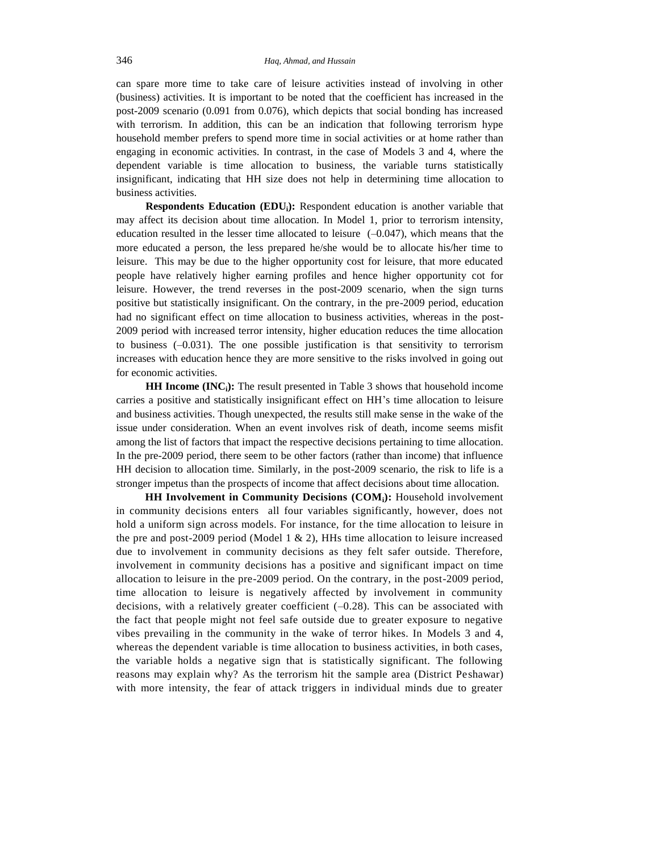can spare more time to take care of leisure activities instead of involving in other (business) activities. It is important to be noted that the coefficient has increased in the post-2009 scenario (0.091 from 0.076), which depicts that social bonding has increased with terrorism. In addition, this can be an indication that following terrorism hype household member prefers to spend more time in social activities or at home rather than engaging in economic activities. In contrast, in the case of Models 3 and 4, where the dependent variable is time allocation to business, the variable turns statistically insignificant, indicating that HH size does not help in determining time allocation to business activities.

**Respondents Education (EDUi):** Respondent education is another variable that may affect its decision about time allocation. In Model 1, prior to terrorism intensity, education resulted in the lesser time allocated to leisure  $(-0.047)$ , which means that the more educated a person, the less prepared he/she would be to allocate his/her time to leisure. This may be due to the higher opportunity cost for leisure, that more educated people have relatively higher earning profiles and hence higher opportunity cot for leisure. However, the trend reverses in the post-2009 scenario, when the sign turns positive but statistically insignificant. On the contrary, in the pre-2009 period, education had no significant effect on time allocation to business activities, whereas in the post-2009 period with increased terror intensity, higher education reduces the time allocation to business  $(-0.031)$ . The one possible justification is that sensitivity to terrorism increases with education hence they are more sensitive to the risks involved in going out for economic activities.

**HH Income (INCi):** The result presented in Table 3 shows that household income carries a positive and statistically insignificant effect on HH's time allocation to leisure and business activities. Though unexpected, the results still make sense in the wake of the issue under consideration. When an event involves risk of death, income seems misfit among the list of factors that impact the respective decisions pertaining to time allocation. In the pre-2009 period, there seem to be other factors (rather than income) that influence HH decision to allocation time. Similarly, in the post-2009 scenario, the risk to life is a stronger impetus than the prospects of income that affect decisions about time allocation.

**HH Involvement in Community Decisions (COMi):** Household involvement in community decisions enters all four variables significantly, however, does not hold a uniform sign across models. For instance, for the time allocation to leisure in the pre and post-2009 period (Model 1  $\&$  2), HHs time allocation to leisure increased due to involvement in community decisions as they felt safer outside. Therefore, involvement in community decisions has a positive and significant impact on time allocation to leisure in the pre-2009 period. On the contrary, in the post-2009 period, time allocation to leisure is negatively affected by involvement in community decisions, with a relatively greater coefficient  $(-0.28)$ . This can be associated with the fact that people might not feel safe outside due to greater exposure to negative vibes prevailing in the community in the wake of terror hikes. In Models 3 and 4, whereas the dependent variable is time allocation to business activities, in both cases, the variable holds a negative sign that is statistically significant. The following reasons may explain why? As the terrorism hit the sample area (District Peshawar) with more intensity, the fear of attack triggers in individual minds due to greater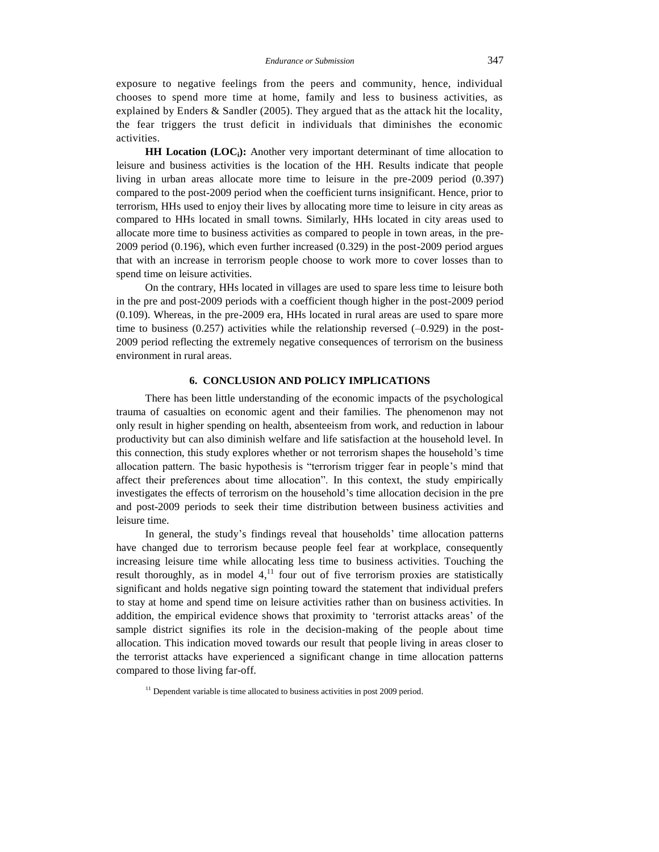exposure to negative feelings from the peers and community, hence, individual chooses to spend more time at home, family and less to business activities, as explained by Enders & Sandler (2005). They argued that as the attack hit the locality, the fear triggers the trust deficit in individuals that diminishes the economic activities.

**HH Location (LOCi):** Another very important determinant of time allocation to leisure and business activities is the location of the HH. Results indicate that people living in urban areas allocate more time to leisure in the pre-2009 period (0.397) compared to the post-2009 period when the coefficient turns insignificant. Hence, prior to terrorism, HHs used to enjoy their lives by allocating more time to leisure in city areas as compared to HHs located in small towns. Similarly, HHs located in city areas used to allocate more time to business activities as compared to people in town areas, in the pre-2009 period (0.196), which even further increased (0.329) in the post-2009 period argues that with an increase in terrorism people choose to work more to cover losses than to spend time on leisure activities.

On the contrary, HHs located in villages are used to spare less time to leisure both in the pre and post-2009 periods with a coefficient though higher in the post-2009 period (0.109). Whereas, in the pre-2009 era, HHs located in rural areas are used to spare more time to business  $(0.257)$  activities while the relationship reversed  $(-0.929)$  in the post-2009 period reflecting the extremely negative consequences of terrorism on the business environment in rural areas.

#### **6. CONCLUSION AND POLICY IMPLICATIONS**

There has been little understanding of the economic impacts of the psychological trauma of casualties on economic agent and their families. The phenomenon may not only result in higher spending on health, absenteeism from work, and reduction in labour productivity but can also diminish welfare and life satisfaction at the household level. In this connection, this study explores whether or not terrorism shapes the household's time allocation pattern. The basic hypothesis is "terrorism trigger fear in people's mind that affect their preferences about time allocation". In this context, the study empirically investigates the effects of terrorism on the household's time allocation decision in the pre and post-2009 periods to seek their time distribution between business activities and leisure time.

In general, the study's findings reveal that households' time allocation patterns have changed due to terrorism because people feel fear at workplace, consequently increasing leisure time while allocating less time to business activities. Touching the result thoroughly, as in model  $4<sup>11</sup>$  four out of five terrorism proxies are statistically significant and holds negative sign pointing toward the statement that individual prefers to stay at home and spend time on leisure activities rather than on business activities. In addition, the empirical evidence shows that proximity to 'terrorist attacks areas' of the sample district signifies its role in the decision-making of the people about time allocation. This indication moved towards our result that people living in areas closer to the terrorist attacks have experienced a significant change in time allocation patterns compared to those living far-off.

 $11$  Dependent variable is time allocated to business activities in post 2009 period.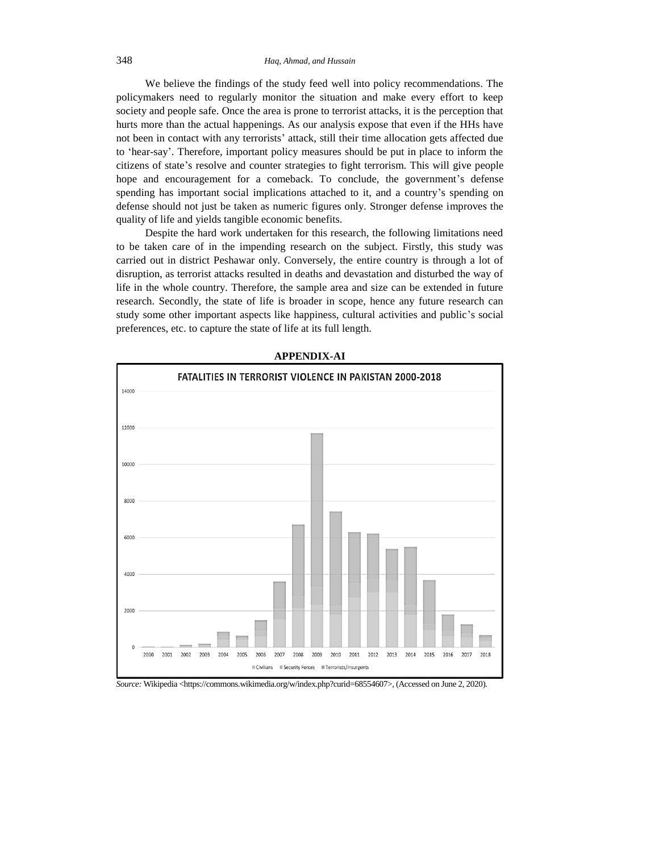# 348 *Haq, Ahmad, and Hussain*

We believe the findings of the study feed well into policy recommendations. The policymakers need to regularly monitor the situation and make every effort to keep society and people safe. Once the area is prone to terrorist attacks, it is the perception that hurts more than the actual happenings. As our analysis expose that even if the HHs have not been in contact with any terrorists' attack, still their time allocation gets affected due to 'hear-say'. Therefore, important policy measures should be put in place to inform the citizens of state's resolve and counter strategies to fight terrorism. This will give people hope and encouragement for a comeback. To conclude, the government's defense spending has important social implications attached to it, and a country's spending on defense should not just be taken as numeric figures only. Stronger defense improves the quality of life and yields tangible economic benefits.

Despite the hard work undertaken for this research, the following limitations need to be taken care of in the impending research on the subject. Firstly, this study was carried out in district Peshawar only. Conversely, the entire country is through a lot of disruption, as terrorist attacks resulted in deaths and devastation and disturbed the way of life in the whole country. Therefore, the sample area and size can be extended in future research. Secondly, the state of life is broader in scope, hence any future research can study some other important aspects like happiness, cultural activities and public's social preferences, etc. to capture the state of life at its full length.



**APPENDIX-AI**

*Source:* Wikipedia [<https://commons.wikimedia.org/w/index.php?curid=68554607>](https://commons.wikimedia.org/w/index.php?curid=68554607), (Accessed on June 2, 2020).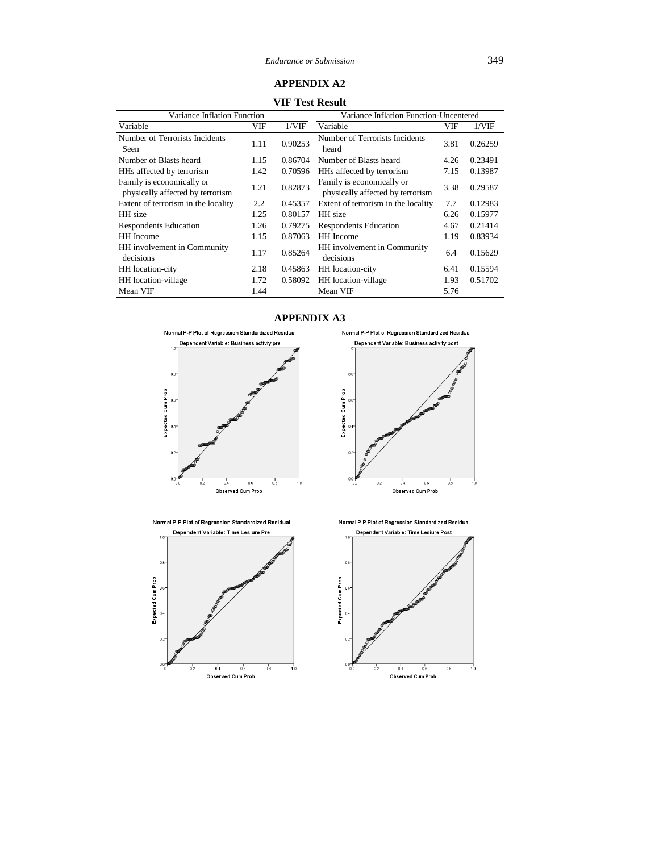# **APPENDIX A2**

**VIF Test Result**

| Variance Inflation Function                                   |      |         | Variance Inflation Function-Uncentered                        |      |         |  |
|---------------------------------------------------------------|------|---------|---------------------------------------------------------------|------|---------|--|
| Variable                                                      | VIF  | 1/VIF   | Variable                                                      | VIF  | 1/VIF   |  |
| Number of Terrorists Incidents<br>Seen                        | 1.11 | 0.90253 | Number of Terrorists Incidents<br>heard                       | 3.81 | 0.26259 |  |
| Number of Blasts heard                                        | 1.15 | 0.86704 | Number of Blasts heard                                        | 4.26 | 0.23491 |  |
| HHs affected by terrorism                                     | 1.42 | 0.70596 | HHs affected by terrorism                                     | 7.15 | 0.13987 |  |
| Family is economically or<br>physically affected by terrorism | 1.21 | 0.82873 | Family is economically or<br>physically affected by terrorism | 3.38 | 0.29587 |  |
| Extent of terrorism in the locality                           | 2.2  | 0.45357 | Extent of terrorism in the locality                           | 7.7  | 0.12983 |  |
| HH size                                                       | 1.25 | 0.80157 | HH size                                                       | 6.26 | 0.15977 |  |
| <b>Respondents Education</b>                                  | 1.26 | 0.79275 | <b>Respondents Education</b>                                  | 4.67 | 0.21414 |  |
| HH Income                                                     | 1.15 | 0.87063 | <b>HH</b> Income                                              | 1.19 | 0.83934 |  |
| HH involvement in Community<br>decisions                      | 1.17 | 0.85264 | HH involvement in Community<br>decisions                      | 6.4  | 0.15629 |  |
| HH location-city                                              | 2.18 | 0.45863 | HH location-city                                              | 6.41 | 0.15594 |  |
| HH location-village                                           | 1.72 | 0.58092 | HH location-village                                           | 1.93 | 0.51702 |  |
| Mean VIF                                                      | 1.44 |         | Mean VIF                                                      | 5.76 |         |  |

# **APPENDIX A3**





Normal P-P Plot of Regression Standardized Residual



Normal P-P Plot of Regression Standardized Residual

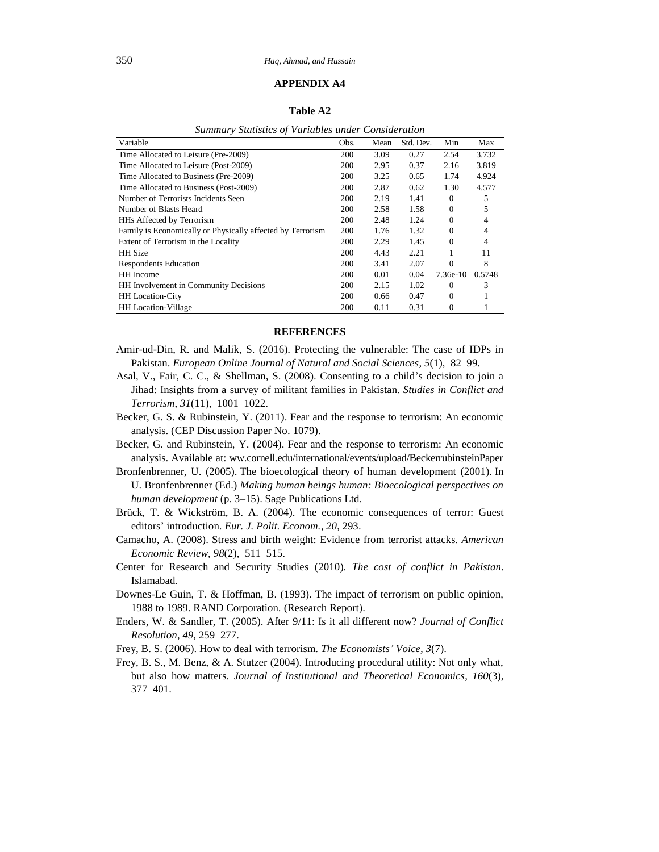# **APPENDIX A4**

#### **Table A2**

| Summary Statistics of Variables under Consideration        |            |      |           |                |        |  |
|------------------------------------------------------------|------------|------|-----------|----------------|--------|--|
| Variable                                                   | Obs.       | Mean | Std. Dev. | Min            | Max    |  |
| Time Allocated to Leisure (Pre-2009)                       | 200        | 3.09 | 0.27      | 2.54           | 3.732  |  |
| Time Allocated to Leisure (Post-2009)                      | 200        | 2.95 | 0.37      | 2.16           | 3.819  |  |
| Time Allocated to Business (Pre-2009)                      | <b>200</b> | 3.25 | 0.65      | 1.74           | 4.924  |  |
| Time Allocated to Business (Post-2009)                     | 200        | 2.87 | 0.62      | 1.30           | 4.577  |  |
| Number of Terrorists Incidents Seen                        | 200        | 2.19 | 1.41      | $\theta$       | 5      |  |
| Number of Blasts Heard                                     | 200        | 2.58 | 1.58      | $\Omega$       | 5      |  |
| HHs Affected by Terrorism                                  | 200        | 2.48 | 1.24      | $\Omega$       | 4      |  |
| Family is Economically or Physically affected by Terrorism | 200        | 1.76 | 1.32      | $\theta$       | 4      |  |
| Extent of Terrorism in the Locality                        | 200        | 2.29 | 1.45      | $\Omega$       | 4      |  |
| <b>HH</b> Size                                             | 200        | 4.43 | 2.21      |                | 11     |  |
| <b>Respondents Education</b>                               | <b>200</b> | 3.41 | 2.07      | $\overline{0}$ | 8      |  |
| HH Income                                                  | 200        | 0.01 | 0.04      | 7.36e-10       | 0.5748 |  |
| HH Involvement in Community Decisions                      | 200        | 2.15 | 1.02      | $\Omega$       | 3      |  |
| <b>HH</b> Location-City                                    | 200        | 0.66 | 0.47      | $\Omega$       |        |  |
| <b>HH</b> Location-Village                                 | 200        | 0.11 | 0.31      | 0              |        |  |

*Summary Statistics of Variables under Consideration*

## **REFERENCES**

- Amir-ud-Din, R. and Malik, S. (2016). Protecting the vulnerable: The case of IDPs in Pakistan. *European Online Journal of Natural and Social Sciences, 5*(1), 82–99.
- Asal, V., Fair, C. C., & Shellman, S. (2008). Consenting to a child's decision to join a Jihad: Insights from a survey of militant families in Pakistan. *Studies in Conflict and Terrorism*, *31*(11), 1001–1022.
- Becker, G. S. & Rubinstein, Y. (2011). Fear and the response to terrorism: An economic analysis. (CEP Discussion Paper No. 1079).
- Becker, G. and Rubinstein, Y. (2004). Fear and the response to terrorism: An economic analysis. Available at: ww.cornell.edu/international/events/upload/BeckerrubinsteinPaper
- Bronfenbrenner, U. (2005). The bioecological theory of human development (2001)*.* In U. Bronfenbrenner (Ed.) *Making human beings human: Bioecological perspectives on human development* (p. 3–15). Sage Publications Ltd.
- Brück, T. & Wickström, B. A. (2004). The economic consequences of terror: Guest editors' introduction. *Eur. J. Polit. Econom., 20*, 293.
- Camacho, A. (2008). Stress and birth weight: Evidence from terrorist attacks. *American Economic Review, 98*(2), 511–515.
- Center for Research and Security Studies (2010). *The cost of conflict in Pakistan*. Islamabad.
- Downes-Le Guin, T. & Hoffman, B. (1993). The impact of terrorism on public opinion, 1988 to 1989. RAND Corporation. (Research Report).
- Enders, W. & Sandler, T. (2005). After 9/11: Is it all different now? *Journal of Conflict Resolution, 49,* 259–277.
- Frey, B. S. (2006). How to deal with terrorism. *The Economists' Voice, 3*(7).
- Frey, B. S., M. Benz, & A. Stutzer (2004). Introducing procedural utility: Not only what, but also how matters. *Journal of Institutional and Theoretical Economics, 160*(3), 377–401.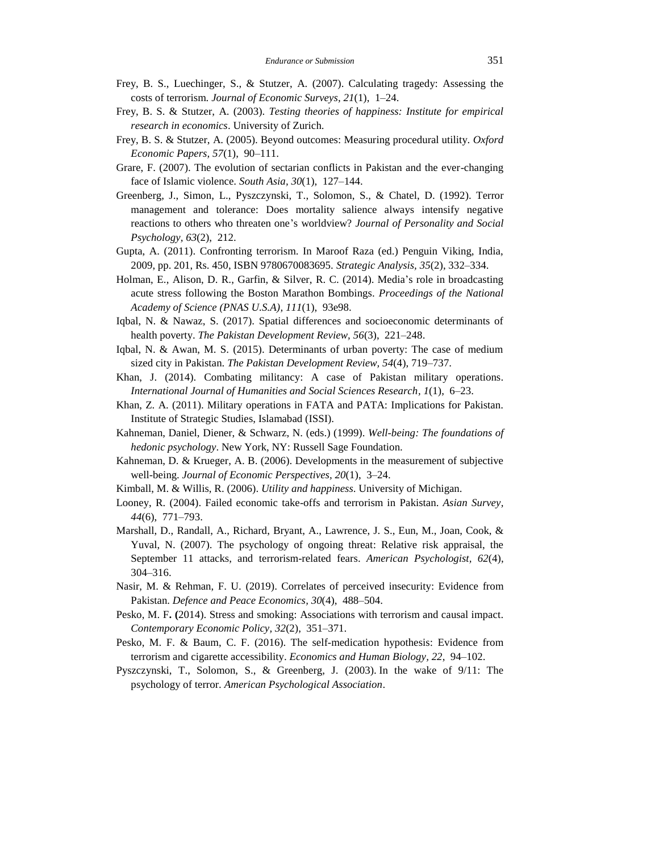- Frey, B. S., Luechinger, S., & Stutzer, A. (2007). Calculating tragedy: Assessing the costs of terrorism. *Journal of Economic Surveys, 21*(1), 1–24.
- Frey, B. S. & Stutzer, A. (2003). *Testing theories of happiness: Institute for empirical research in economics*. University of Zurich.
- Frey, B. S. & Stutzer, A. (2005). Beyond outcomes: Measuring procedural utility. *Oxford Economic Papers, 57*(1), 90–111.
- Grare, F. (2007). The evolution of sectarian conflicts in Pakistan and the ever-changing face of Islamic violence. *South Asia, 30*(1), 127–144.
- Greenberg, J., Simon, L., Pyszczynski, T., Solomon, S., & Chatel, D. (1992). Terror management and tolerance: Does mortality salience always intensify negative reactions to others who threaten one's worldview? *Journal of Personality and Social Psychology, 63*(2), 212.
- Gupta, A. (2011). Confronting terrorism. In Maroof Raza (ed.) Penguin Viking, India, 2009, pp. 201, Rs. 450, ISBN 9780670083695. *Strategic Analysis, 35*(2), 332–334.
- Holman, E., Alison, D. R., Garfin, & Silver, R. C. (2014). Media's role in broadcasting acute stress following the Boston Marathon Bombings. *Proceedings of the National Academy of Science (PNAS U.S.A), 111*(1), 93e98.
- Iqbal, N. & Nawaz, S. (2017). Spatial differences and socioeconomic determinants of health poverty. *The Pakistan Development Review, 56*(3), 221–248.
- Iqbal, N. & Awan, M. S. (2015). Determinants of urban poverty: The case of medium sized city in Pakistan. *The Pakistan Development Review, 54*(4), 719–737.
- Khan, J. (2014). Combating militancy: A case of Pakistan military operations. *International Journal of Humanities and Social Sciences Research, 1*(1), 6–23.
- Khan, Z. A. (2011). Military operations in FATA and PATA: Implications for Pakistan. Institute of Strategic Studies, Islamabad (ISSI).
- Kahneman, Daniel, Diener, & Schwarz, N. (eds.) (1999). *Well-being: The foundations of hedonic psychology*. New York, NY: Russell Sage Foundation.
- Kahneman, D. & Krueger, A. B. (2006). Developments in the measurement of subjective well-being. *Journal of Economic Perspectives, 20*(1), 3–24.
- Kimball, M. & Willis, R. (2006). *Utility and happiness*. University of Michigan.
- Looney, R. (2004). Failed economic take-offs and terrorism in Pakistan. *Asian Survey, 44*(6), 771–793.
- Marshall, D., Randall, A., Richard, Bryant, A., Lawrence, J. S., Eun, M., Joan, Cook, & Yuval, N. (2007). The psychology of ongoing threat: Relative risk appraisal, the September 11 attacks, and terrorism-related fears. *American Psychologist, 62*(4), 304–316.
- Nasir, M. & Rehman, F. U. (2019). Correlates of perceived insecurity: Evidence from Pakistan. *Defence and Peace Economics, 30*(4), 488–504.
- Pesko, M. F**. (**2014). Stress and smoking: Associations with terrorism and causal impact. *Contemporary Economic Policy, 32*(2), 351–371.
- Pesko, M. F. & Baum, C. F. (2016). The self-medication hypothesis: Evidence from terrorism and cigarette accessibility. *Economics and Human Biology, 22*, 94–102.
- Pyszczynski, T., Solomon, S., & Greenberg, J. (2003). In the wake of 9/11: The psychology of terror. *American Psychological Association*.